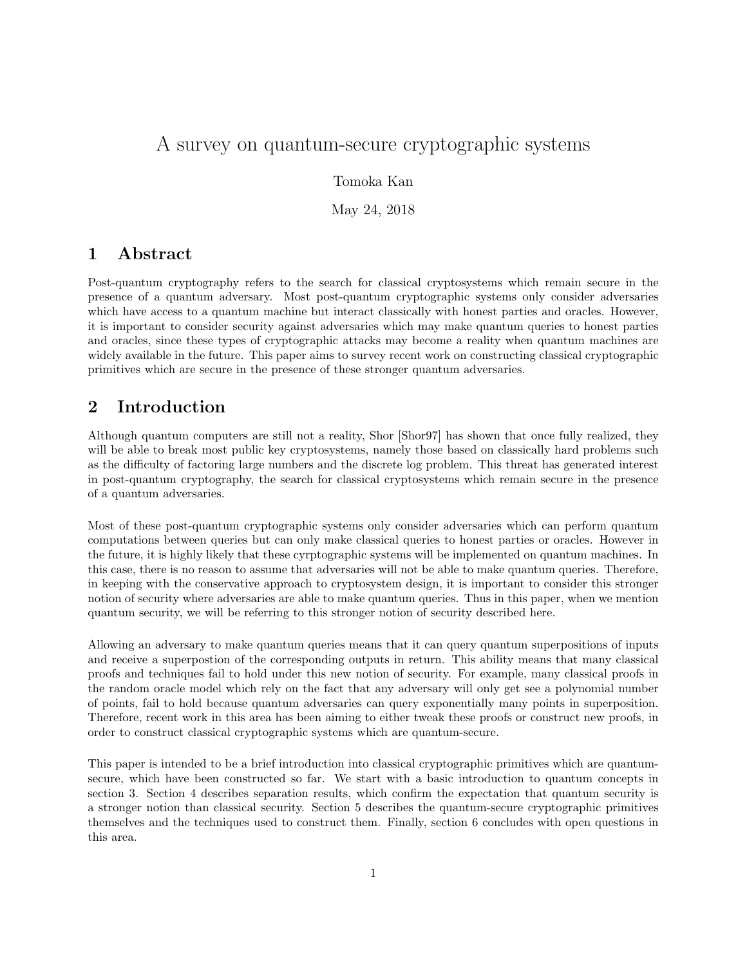# A survey on quantum-secure cryptographic systems

Tomoka Kan

May 24, 2018

### 1 Abstract

Post-quantum cryptography refers to the search for classical cryptosystems which remain secure in the presence of a quantum adversary. Most post-quantum cryptographic systems only consider adversaries which have access to a quantum machine but interact classically with honest parties and oracles. However, it is important to consider security against adversaries which may make quantum queries to honest parties and oracles, since these types of cryptographic attacks may become a reality when quantum machines are widely available in the future. This paper aims to survey recent work on constructing classical cryptographic primitives which are secure in the presence of these stronger quantum adversaries.

# 2 Introduction

Although quantum computers are still not a reality, Shor [Shor97] has shown that once fully realized, they will be able to break most public key cryptosystems, namely those based on classically hard problems such as the difficulty of factoring large numbers and the discrete log problem. This threat has generated interest in post-quantum cryptography, the search for classical cryptosystems which remain secure in the presence of a quantum adversaries.

Most of these post-quantum cryptographic systems only consider adversaries which can perform quantum computations between queries but can only make classical queries to honest parties or oracles. However in the future, it is highly likely that these cyrptographic systems will be implemented on quantum machines. In this case, there is no reason to assume that adversaries will not be able to make quantum queries. Therefore, in keeping with the conservative approach to cryptosystem design, it is important to consider this stronger notion of security where adversaries are able to make quantum queries. Thus in this paper, when we mention quantum security, we will be referring to this stronger notion of security described here.

Allowing an adversary to make quantum queries means that it can query quantum superpositions of inputs and receive a superpostion of the corresponding outputs in return. This ability means that many classical proofs and techniques fail to hold under this new notion of security. For example, many classical proofs in the random oracle model which rely on the fact that any adversary will only get see a polynomial number of points, fail to hold because quantum adversaries can query exponentially many points in superposition. Therefore, recent work in this area has been aiming to either tweak these proofs or construct new proofs, in order to construct classical cryptographic systems which are quantum-secure.

This paper is intended to be a brief introduction into classical cryptographic primitives which are quantumsecure, which have been constructed so far. We start with a basic introduction to quantum concepts in section 3. Section 4 describes separation results, which confirm the expectation that quantum security is a stronger notion than classical security. Section 5 describes the quantum-secure cryptographic primitives themselves and the techniques used to construct them. Finally, section 6 concludes with open questions in this area.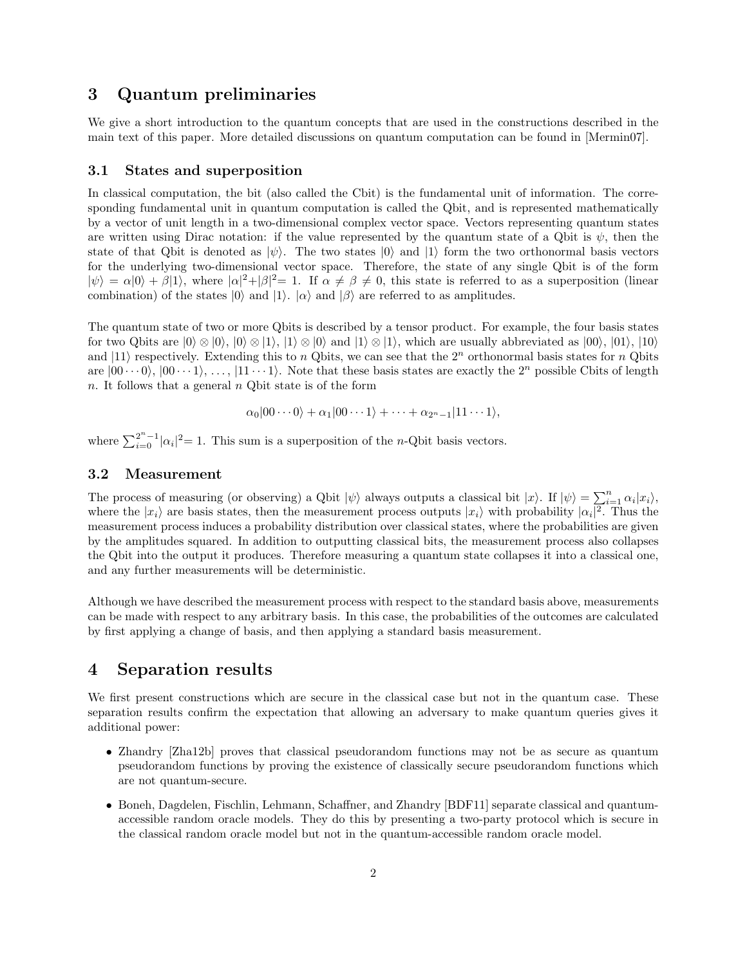### 3 Quantum preliminaries

We give a short introduction to the quantum concepts that are used in the constructions described in the main text of this paper. More detailed discussions on quantum computation can be found in [Mermin07].

#### 3.1 States and superposition

In classical computation, the bit (also called the Cbit) is the fundamental unit of information. The corresponding fundamental unit in quantum computation is called the Qbit, and is represented mathematically by a vector of unit length in a two-dimensional complex vector space. Vectors representing quantum states are written using Dirac notation: if the value represented by the quantum state of a Qbit is  $\psi$ , then the state of that Qbit is denoted as  $|\psi\rangle$ . The two states  $|0\rangle$  and  $|1\rangle$  form the two orthonormal basis vectors for the underlying two-dimensional vector space. Therefore, the state of any single Qbit is of the form  $|\psi\rangle = \alpha|0\rangle + \beta|1\rangle$ , where  $|\alpha|^2 + |\beta|^2 = 1$ . If  $\alpha \neq \beta \neq 0$ , this state is referred to as a superposition (linear combination) of the states  $|0\rangle$  and  $|1\rangle$ .  $|\alpha\rangle$  and  $|\beta\rangle$  are referred to as amplitudes.

The quantum state of two or more Qbits is described by a tensor product. For example, the four basis states for two Qbits are  $|0\rangle \otimes |0\rangle$ ,  $|0\rangle \otimes |1\rangle$ ,  $|1\rangle \otimes |0\rangle$  and  $|1\rangle \otimes |1\rangle$ , which are usually abbreviated as  $|00\rangle$ ,  $|01\rangle$ ,  $|10\rangle$ and  $|11\rangle$  respectively. Extending this to n Qbits, we can see that the  $2^n$  orthonormal basis states for n Qbits are  $|00\cdots0\rangle, |00\cdots1\rangle, \ldots, |11\cdots1\rangle$ . Note that these basis states are exactly the  $2^n$  possible Cbits of length n. It follows that a general  $n$  Q bit state is of the form

$$
\alpha_0|00\cdots 0\rangle + \alpha_1|00\cdots 1\rangle + \cdots + \alpha_{2^n-1}|11\cdots 1\rangle,
$$

where  $\sum_{i=0}^{2^n-1} |\alpha_i|^2 = 1$ . This sum is a superposition of the *n*-Qbit basis vectors.

#### 3.2 Measurement

The process of measuring (or observing) a Qbit  $|\psi\rangle$  always outputs a classical bit  $|x\rangle$ . If  $|\psi\rangle = \sum_{i=1}^{n} \alpha_i |x_i\rangle$ , where the  $|x_i\rangle$  are basis states, then the measurement process outputs  $|x_i\rangle$  with probability  $|\alpha_i|^2$ . Thus the measurement process induces a probability distribution over classical states, where the probabilities are given by the amplitudes squared. In addition to outputting classical bits, the measurement process also collapses the Qbit into the output it produces. Therefore measuring a quantum state collapses it into a classical one, and any further measurements will be deterministic.

Although we have described the measurement process with respect to the standard basis above, measurements can be made with respect to any arbitrary basis. In this case, the probabilities of the outcomes are calculated by first applying a change of basis, and then applying a standard basis measurement.

### 4 Separation results

We first present constructions which are secure in the classical case but not in the quantum case. These separation results confirm the expectation that allowing an adversary to make quantum queries gives it additional power:

- Zhandry [Zha12b] proves that classical pseudorandom functions may not be as secure as quantum pseudorandom functions by proving the existence of classically secure pseudorandom functions which are not quantum-secure.
- Boneh, Dagdelen, Fischlin, Lehmann, Schaffner, and Zhandry [BDF11] separate classical and quantumaccessible random oracle models. They do this by presenting a two-party protocol which is secure in the classical random oracle model but not in the quantum-accessible random oracle model.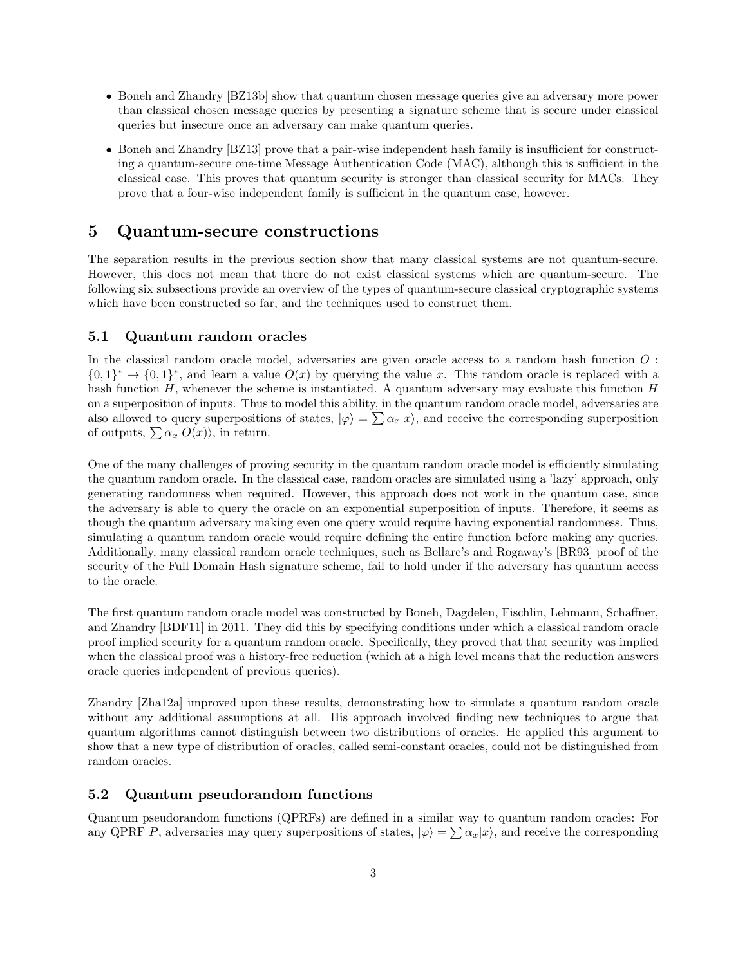- Boneh and Zhandry [BZ13b] show that quantum chosen message queries give an adversary more power than classical chosen message queries by presenting a signature scheme that is secure under classical queries but insecure once an adversary can make quantum queries.
- Boneh and Zhandry [BZ13] prove that a pair-wise independent hash family is insufficient for constructing a quantum-secure one-time Message Authentication Code (MAC), although this is sufficient in the classical case. This proves that quantum security is stronger than classical security for MACs. They prove that a four-wise independent family is sufficient in the quantum case, however.

### 5 Quantum-secure constructions

The separation results in the previous section show that many classical systems are not quantum-secure. However, this does not mean that there do not exist classical systems which are quantum-secure. The following six subsections provide an overview of the types of quantum-secure classical cryptographic systems which have been constructed so far, and the techniques used to construct them.

#### 5.1 Quantum random oracles

In the classical random oracle model, adversaries are given oracle access to a random hash function O :  ${0,1}^* \rightarrow {0,1}^*$ , and learn a value  $O(x)$  by querying the value x. This random oracle is replaced with a hash function  $H$ , whenever the scheme is instantiated. A quantum adversary may evaluate this function  $H$ on a superposition of inputs. Thus to model this ability, in the quantum random oracle model, adversaries are also allowed to query superpositions of states,  $|\varphi\rangle = \sum_{\alpha_x}|x\rangle$ , and receive the corresponding superposition of outputs,  $\sum \alpha_x|O(x)\rangle$ , in return.

One of the many challenges of proving security in the quantum random oracle model is efficiently simulating the quantum random oracle. In the classical case, random oracles are simulated using a 'lazy' approach, only generating randomness when required. However, this approach does not work in the quantum case, since the adversary is able to query the oracle on an exponential superposition of inputs. Therefore, it seems as though the quantum adversary making even one query would require having exponential randomness. Thus, simulating a quantum random oracle would require defining the entire function before making any queries. Additionally, many classical random oracle techniques, such as Bellare's and Rogaway's [BR93] proof of the security of the Full Domain Hash signature scheme, fail to hold under if the adversary has quantum access to the oracle.

The first quantum random oracle model was constructed by Boneh, Dagdelen, Fischlin, Lehmann, Schaffner, and Zhandry [BDF11] in 2011. They did this by specifying conditions under which a classical random oracle proof implied security for a quantum random oracle. Specifically, they proved that that security was implied when the classical proof was a history-free reduction (which at a high level means that the reduction answers oracle queries independent of previous queries).

Zhandry [Zha12a] improved upon these results, demonstrating how to simulate a quantum random oracle without any additional assumptions at all. His approach involved finding new techniques to argue that quantum algorithms cannot distinguish between two distributions of oracles. He applied this argument to show that a new type of distribution of oracles, called semi-constant oracles, could not be distinguished from random oracles.

#### 5.2 Quantum pseudorandom functions

Quantum pseudorandom functions (QPRFs) are defined in a similar way to quantum random oracles: For any QPRF P, adversaries may query superpositions of states,  $|\varphi\rangle = \sum_{n} \alpha_x |x\rangle$ , and receive the corresponding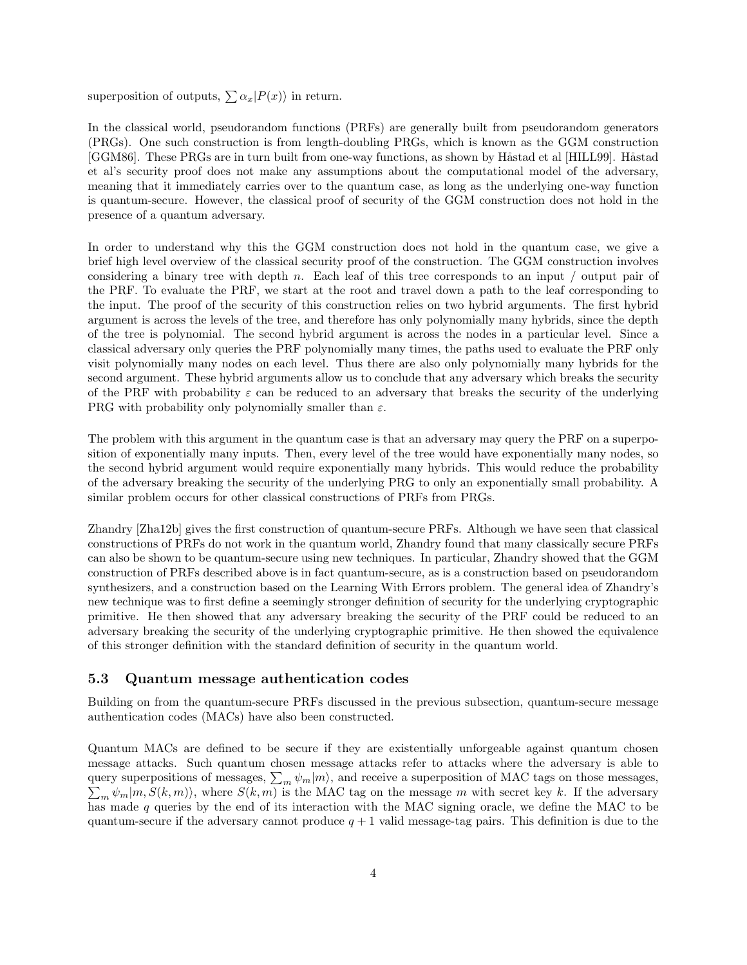superposition of outputs,  $\sum \alpha_x |P(x)\rangle$  in return.

In the classical world, pseudorandom functions (PRFs) are generally built from pseudorandom generators (PRGs). One such construction is from length-doubling PRGs, which is known as the GGM construction [GGM86]. These PRGs are in turn built from one-way functions, as shown by Håstad et al [HILL99]. Håstad et al's security proof does not make any assumptions about the computational model of the adversary, meaning that it immediately carries over to the quantum case, as long as the underlying one-way function is quantum-secure. However, the classical proof of security of the GGM construction does not hold in the presence of a quantum adversary.

In order to understand why this the GGM construction does not hold in the quantum case, we give a brief high level overview of the classical security proof of the construction. The GGM construction involves considering a binary tree with depth n. Each leaf of this tree corresponds to an input  $\prime$  output pair of the PRF. To evaluate the PRF, we start at the root and travel down a path to the leaf corresponding to the input. The proof of the security of this construction relies on two hybrid arguments. The first hybrid argument is across the levels of the tree, and therefore has only polynomially many hybrids, since the depth of the tree is polynomial. The second hybrid argument is across the nodes in a particular level. Since a classical adversary only queries the PRF polynomially many times, the paths used to evaluate the PRF only visit polynomially many nodes on each level. Thus there are also only polynomially many hybrids for the second argument. These hybrid arguments allow us to conclude that any adversary which breaks the security of the PRF with probability  $\varepsilon$  can be reduced to an adversary that breaks the security of the underlying PRG with probability only polynomially smaller than  $\varepsilon$ .

The problem with this argument in the quantum case is that an adversary may query the PRF on a superposition of exponentially many inputs. Then, every level of the tree would have exponentially many nodes, so the second hybrid argument would require exponentially many hybrids. This would reduce the probability of the adversary breaking the security of the underlying PRG to only an exponentially small probability. A similar problem occurs for other classical constructions of PRFs from PRGs.

Zhandry [Zha12b] gives the first construction of quantum-secure PRFs. Although we have seen that classical constructions of PRFs do not work in the quantum world, Zhandry found that many classically secure PRFs can also be shown to be quantum-secure using new techniques. In particular, Zhandry showed that the GGM construction of PRFs described above is in fact quantum-secure, as is a construction based on pseudorandom synthesizers, and a construction based on the Learning With Errors problem. The general idea of Zhandry's new technique was to first define a seemingly stronger definition of security for the underlying cryptographic primitive. He then showed that any adversary breaking the security of the PRF could be reduced to an adversary breaking the security of the underlying cryptographic primitive. He then showed the equivalence of this stronger definition with the standard definition of security in the quantum world.

#### 5.3 Quantum message authentication codes

Building on from the quantum-secure PRFs discussed in the previous subsection, quantum-secure message authentication codes (MACs) have also been constructed.

Quantum MACs are defined to be secure if they are existentially unforgeable against quantum chosen message attacks. Such quantum chosen message attacks refer to attacks where the adversary is able to query superpositions of messages,  $\sum_m \psi_m |m\rangle$ , and receive a superposition of MAC tags on those messages,  $\sum_m \psi_m |m, S(k, m)\rangle$ , where  $S(k, m)$  is the MAC tag on the message m with secret key k. If the adversary  $\sum_{m} \psi_m |m, S(k, m)\rangle$ , where  $S(k, m)$  is the MAC tag on the message m with secret key k. If the adversary has made  $q$  queries by the end of its interaction with the MAC signing oracle, we define the MAC to be quantum-secure if the adversary cannot produce  $q + 1$  valid message-tag pairs. This definition is due to the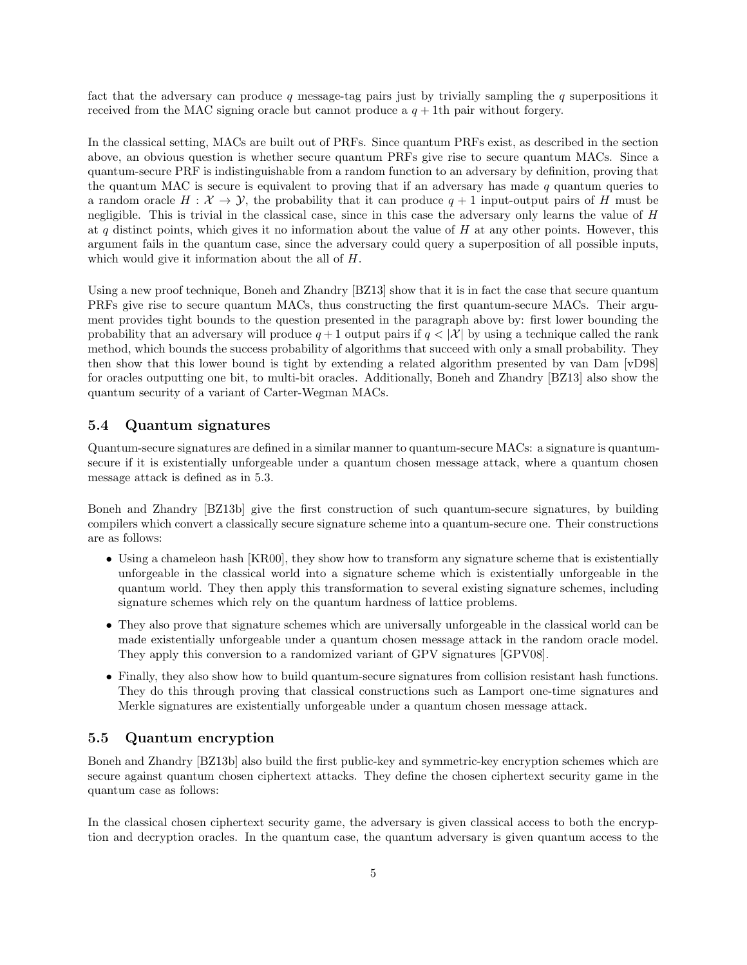fact that the adversary can produce q message-tag pairs just by trivially sampling the q superpositions it received from the MAC signing oracle but cannot produce a  $q + 1$ th pair without forgery.

In the classical setting, MACs are built out of PRFs. Since quantum PRFs exist, as described in the section above, an obvious question is whether secure quantum PRFs give rise to secure quantum MACs. Since a quantum-secure PRF is indistinguishable from a random function to an adversary by definition, proving that the quantum MAC is secure is equivalent to proving that if an adversary has made q quantum queries to a random oracle  $H : \mathcal{X} \to \mathcal{Y}$ , the probability that it can produce  $q + 1$  input-output pairs of H must be negligible. This is trivial in the classical case, since in this case the adversary only learns the value of H at q distinct points, which gives it no information about the value of  $H$  at any other points. However, this argument fails in the quantum case, since the adversary could query a superposition of all possible inputs, which would give it information about the all of H.

Using a new proof technique, Boneh and Zhandry [BZ13] show that it is in fact the case that secure quantum PRFs give rise to secure quantum MACs, thus constructing the first quantum-secure MACs. Their argument provides tight bounds to the question presented in the paragraph above by: first lower bounding the probability that an adversary will produce  $q + 1$  output pairs if  $q < |\mathcal{X}|$  by using a technique called the rank method, which bounds the success probability of algorithms that succeed with only a small probability. They then show that this lower bound is tight by extending a related algorithm presented by van Dam [vD98] for oracles outputting one bit, to multi-bit oracles. Additionally, Boneh and Zhandry [BZ13] also show the quantum security of a variant of Carter-Wegman MACs.

#### 5.4 Quantum signatures

Quantum-secure signatures are defined in a similar manner to quantum-secure MACs: a signature is quantumsecure if it is existentially unforgeable under a quantum chosen message attack, where a quantum chosen message attack is defined as in 5.3.

Boneh and Zhandry [BZ13b] give the first construction of such quantum-secure signatures, by building compilers which convert a classically secure signature scheme into a quantum-secure one. Their constructions are as follows:

- Using a chameleon hash [KR00], they show how to transform any signature scheme that is existentially unforgeable in the classical world into a signature scheme which is existentially unforgeable in the quantum world. They then apply this transformation to several existing signature schemes, including signature schemes which rely on the quantum hardness of lattice problems.
- They also prove that signature schemes which are universally unforgeable in the classical world can be made existentially unforgeable under a quantum chosen message attack in the random oracle model. They apply this conversion to a randomized variant of GPV signatures [GPV08].
- Finally, they also show how to build quantum-secure signatures from collision resistant hash functions. They do this through proving that classical constructions such as Lamport one-time signatures and Merkle signatures are existentially unforgeable under a quantum chosen message attack.

#### 5.5 Quantum encryption

Boneh and Zhandry [BZ13b] also build the first public-key and symmetric-key encryption schemes which are secure against quantum chosen ciphertext attacks. They define the chosen ciphertext security game in the quantum case as follows:

In the classical chosen ciphertext security game, the adversary is given classical access to both the encryption and decryption oracles. In the quantum case, the quantum adversary is given quantum access to the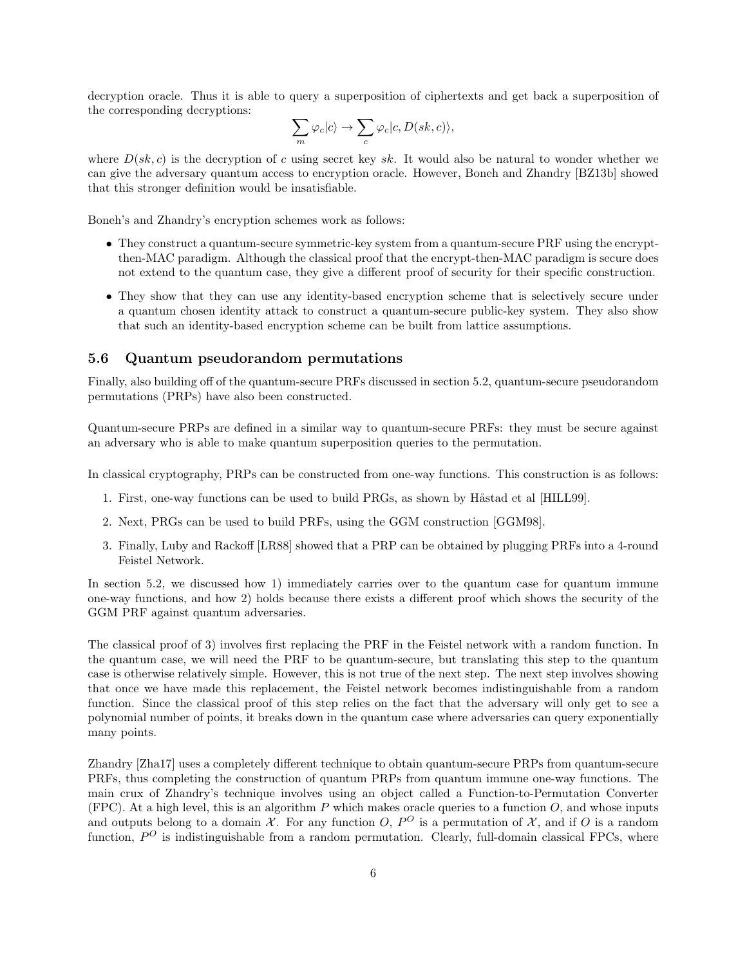decryption oracle. Thus it is able to query a superposition of ciphertexts and get back a superposition of the corresponding decryptions:

$$
\sum_m \varphi_c | c \rangle \to \sum_c \varphi_c | c, D (sk, c) \rangle,
$$

where  $D(sk, c)$  is the decryption of c using secret key sk. It would also be natural to wonder whether we can give the adversary quantum access to encryption oracle. However, Boneh and Zhandry [BZ13b] showed that this stronger definition would be insatisfiable.

Boneh's and Zhandry's encryption schemes work as follows:

- They construct a quantum-secure symmetric-key system from a quantum-secure PRF using the encryptthen-MAC paradigm. Although the classical proof that the encrypt-then-MAC paradigm is secure does not extend to the quantum case, they give a different proof of security for their specific construction.
- They show that they can use any identity-based encryption scheme that is selectively secure under a quantum chosen identity attack to construct a quantum-secure public-key system. They also show that such an identity-based encryption scheme can be built from lattice assumptions.

#### 5.6 Quantum pseudorandom permutations

Finally, also building off of the quantum-secure PRFs discussed in section 5.2, quantum-secure pseudorandom permutations (PRPs) have also been constructed.

Quantum-secure PRPs are defined in a similar way to quantum-secure PRFs: they must be secure against an adversary who is able to make quantum superposition queries to the permutation.

In classical cryptography, PRPs can be constructed from one-way functions. This construction is as follows:

- 1. First, one-way functions can be used to build PRGs, as shown by Håstad et al [HILL99].
- 2. Next, PRGs can be used to build PRFs, using the GGM construction [GGM98].
- 3. Finally, Luby and Rackoff [LR88] showed that a PRP can be obtained by plugging PRFs into a 4-round Feistel Network.

In section 5.2, we discussed how 1) immediately carries over to the quantum case for quantum immune one-way functions, and how 2) holds because there exists a different proof which shows the security of the GGM PRF against quantum adversaries.

The classical proof of 3) involves first replacing the PRF in the Feistel network with a random function. In the quantum case, we will need the PRF to be quantum-secure, but translating this step to the quantum case is otherwise relatively simple. However, this is not true of the next step. The next step involves showing that once we have made this replacement, the Feistel network becomes indistinguishable from a random function. Since the classical proof of this step relies on the fact that the adversary will only get to see a polynomial number of points, it breaks down in the quantum case where adversaries can query exponentially many points.

Zhandry [Zha17] uses a completely different technique to obtain quantum-secure PRPs from quantum-secure PRFs, thus completing the construction of quantum PRPs from quantum immune one-way functions. The main crux of Zhandry's technique involves using an object called a Function-to-Permutation Converter (FPC). At a high level, this is an algorithm P which makes oracle queries to a function  $O$ , and whose inputs and outputs belong to a domain X. For any function O,  $P^O$  is a permutation of X, and if O is a random function,  $P^O$  is indistinguishable from a random permutation. Clearly, full-domain classical FPCs, where